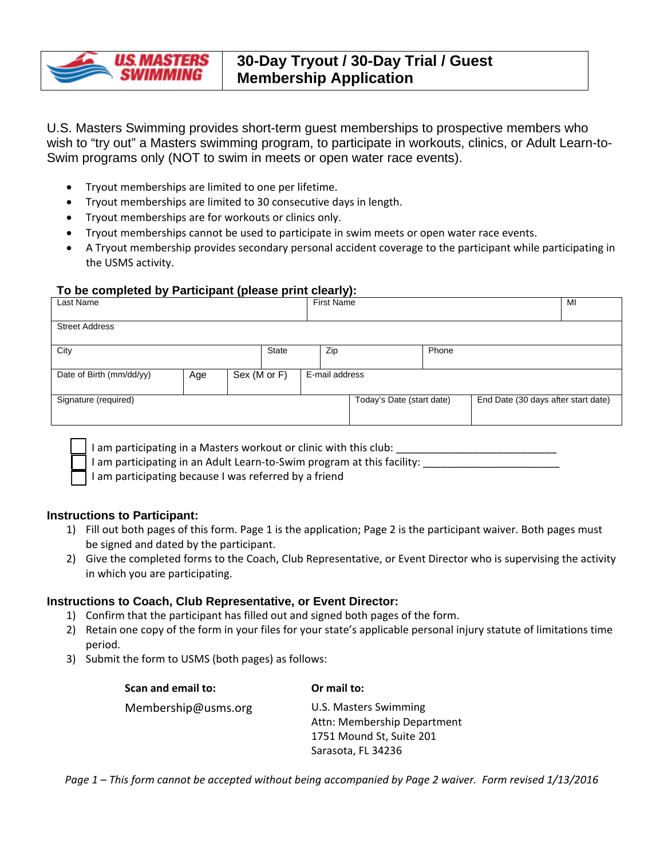

U.S. Masters Swimming provides short-term guest memberships to prospective members who wish to "try out" a Masters swimming program, to participate in workouts, clinics, or Adult Learn-to-Swim programs only (NOT to swim in meets or open water race events).

- Tryout memberships are limited to one per lifetime.
- Tryout memberships are limited to 30 consecutive days in length.
- Tryout memberships are for workouts or clinics only.
- Tryout memberships cannot be used to participate in swim meets or open water race events.
- A Tryout membership provides secondary personal accident coverage to the participant while participating in the USMS activity.

## **To be completed by Participant (please print clearly):**

| Last Name                |     |                                |              |  | <b>First Name</b>         |  |                                     |  | MI |
|--------------------------|-----|--------------------------------|--------------|--|---------------------------|--|-------------------------------------|--|----|
| <b>Street Address</b>    |     |                                |              |  |                           |  |                                     |  |    |
| City                     |     |                                | <b>State</b> |  | Zip                       |  | Phone                               |  |    |
| Date of Birth (mm/dd/yy) | Age | E-mail address<br>Sex (M or F) |              |  |                           |  |                                     |  |    |
| Signature (required)     |     |                                |              |  | Today's Date (start date) |  | End Date (30 days after start date) |  |    |

I am participating in a Masters workout or clinic with this club:

I am participating in an Adult Learn-to-Swim program at this facility: \_\_\_\_\_\_\_\_\_

I am participating because I was referred by a friend

## **Instructions to Participant:**

- 1) Fill out both pages of this form. Page 1 is the application; Page 2 is the participant waiver. Both pages must be signed and dated by the participant.
- 2) Give the completed forms to the Coach, Club Representative, or Event Director who is supervising the activity in which you are participating.

## **Instructions to Coach, Club Representative, or Event Director:**

- 1) Confirm that the participant has filled out and signed both pages of the form.
- 2) Retain one copy of the form in your files for your state's applicable personal injury statute of limitations time period.
- 3) Submit the form to USMS (both pages) as follows:

| Scan and email to:  | Or mail to:                                          |  |  |  |
|---------------------|------------------------------------------------------|--|--|--|
| Membership@usms.org | U.S. Masters Swimming<br>Attn: Membership Department |  |  |  |
|                     | 1751 Mound St, Suite 201                             |  |  |  |
|                     | Sarasota, FL 34236                                   |  |  |  |

*Page 1 – This form cannot be accepted without being accompanied by Page 2 waiver. Form revised 1/13/2016*